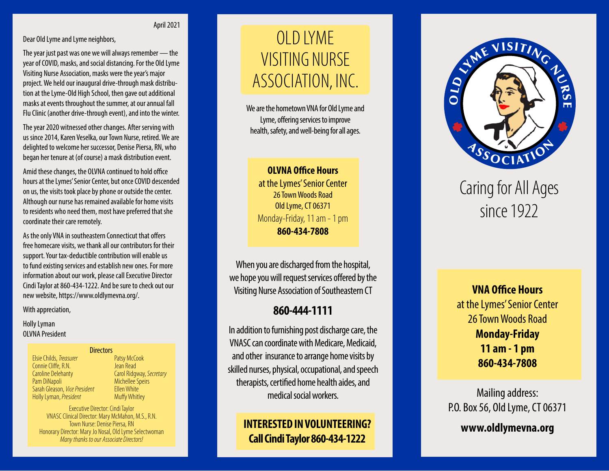#### April 2021

Dear Old Lyme and Lyme neighbors,

The year just past was one we will always remember — the year of COVID, masks, and social distancing. For the Old Lyme Visiting Nurse Association, masks were the year's major project. We held our inaugural drive-through mask distribu tion at the Lyme-Old High School, then gave out additional masks at events throughout the summer, at our annual fall Flu Clinic (another drive-through event), and into the winter.

The year 2020 witnessed other changes. After serving with us since 2014, Karen Veselka, our Town Nurse, retired. We are delighted to welcome her successor, Denise Piersa, RN, who began her tenure at (of course) a mask distribution event.

Amid these changes, the OLVNA continued to hold office hours at the Lymes' Senior Center, but once COVID descended on us, the visits took place by phone or outside the center. Although our nurse has remained available for home visits to residents who need them, most have preferred that she coordinate their care remotely.

As the only VNA in southeastern Connecticut that offers free homecare visits, we thank all our contributors for their support. Your tax-deductible contribution will enable us to fund existing services and establish new ones. For more information about our work, please call Executive Director Cindi Taylor at 860-434-1222. And be sure to check out our new website, https://www.oldlymevna.org/.

#### With appreciation,

Holly Lyman OLVNA President

#### **Directors**

| Elsie Childs, Treasurer       |
|-------------------------------|
| Connie Cliffe, R.N.           |
| <b>Caroline Delehanty</b>     |
| Pam DiNapoli                  |
| Sarah Gleason, Vice President |
| Holly Lyman, President        |

Patsy McCook Jean Read Carol Ridgway, *Secretary* Michellee Speirs Ellen White Muffy Whitley

Executive Director: Cindi Taylor VNASC Clinical Director: Mary McMahon, M.S., R.N. Town Nurse: Denise Piersa, RN Honorary Director: Mary Jo Nosal, Old Lyme Selectwoman *Many thanks to our Associate Directors!*

# VISITING NURSE<br>ASSOCIATION, INC.<br>We are the hometown VNA for Old Lyme ar V I S I VISITING NURSE OLD LYME

We are the hometown VNA for Old Lyme and Lyme, offering services to improve health, safety, and well-being for all ages.  $\ddot{\phantom{0}}$ 

**OLVNA Office Hours** at the Lymes' Senior Center 26 Town Woods Road Old Lyme, CT 06371 Monday-Friday, 11 am - 1 pm **860-434-7808**

When you are discharged from the hospital, we hope you will request services offered by the Visiting Nurse Association of Southeastern CT

#### **860-444-1111**

In addition to furnishing post discharge care, the VNASC can coordinate with Medicare, Medicaid, and other insurance to arrange home visits by skilled nurses, physical, occupational, and speech therapists, certified home health aides, and medical social workers.

> **INTERESTED IN VOLUNTEERING? Call Cindi Taylor 860-434-1222**



## Caring for All Ages since 1922

**VNA Office Hours**  at the Lymes' Senior Center 26 Town Woods Road **Monday-Friday 11 am - 1 pm 860-434-7808**

Mailing address: P.O. Box 56, Old Lyme, CT 06371

**www.oldlymevna.org**